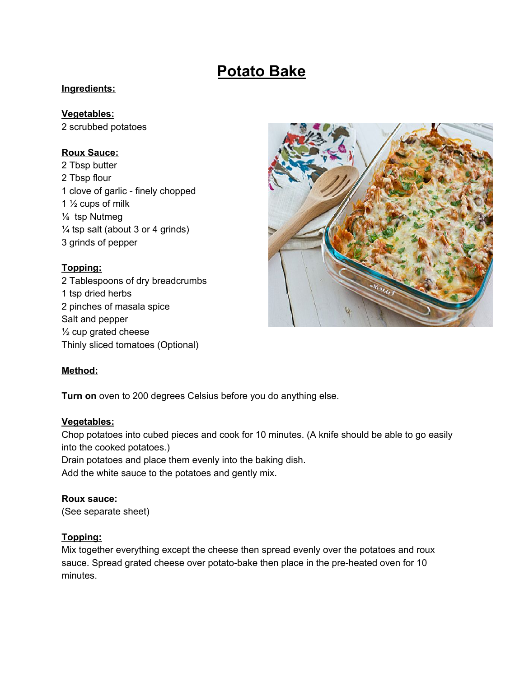# **Potato Bake**

#### **Ingredients:**

#### **Vegetables:**

2 scrubbed potatoes

## **Roux Sauce:**

 Tbsp butter Tbsp flour clove of garlic - finely chopped  $\frac{1}{2}$  cups of milk ⅛ tsp Nutmeg  $\frac{1}{4}$  tsp salt (about 3 or 4 grinds) grinds of pepper

## **Topping:**

2 Tablespoons of dry breadcrumbs 1 tsp dried herbs 2 pinches of masala spice Salt and pepper ½ cup grated cheese Thinly sliced tomatoes (Optional)



## **Method:**

**Turn on** oven to 200 degrees Celsius before you do anything else.

#### **Vegetables:**

Chop potatoes into cubed pieces and cook for 10 minutes. (A knife should be able to go easily into the cooked potatoes.)

Drain potatoes and place them evenly into the baking dish.

Add the white sauce to the potatoes and gently mix.

## **Roux sauce:**

(See separate sheet)

#### **Topping:**

Mix together everything except the cheese then spread evenly over the potatoes and roux sauce. Spread grated cheese over potato-bake then place in the pre-heated oven for 10 minutes.